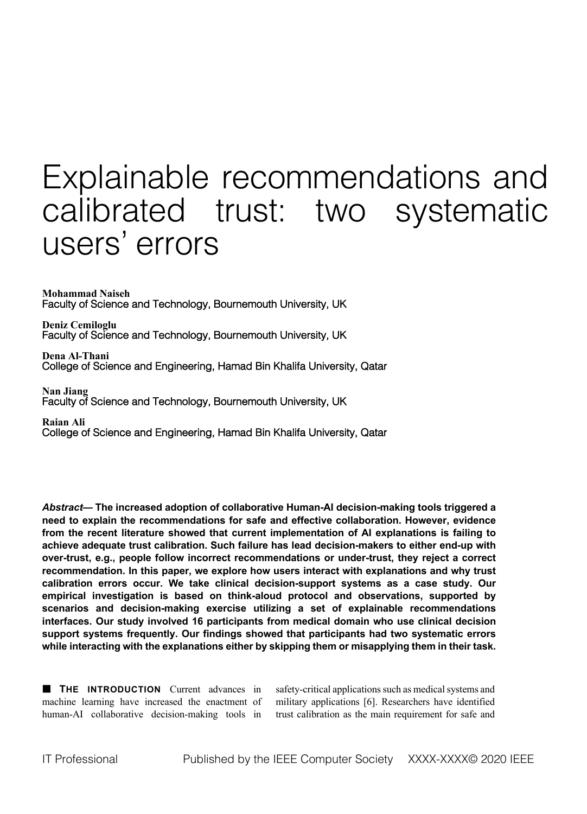# Explainable recommendations and calibrated trust: two systematic users' errors

**Mohammad Naiseh** Faculty of Science and Technology, Bournemouth University, UK

**Deniz Cemiloglu** Faculty of Science and Technology, Bournemouth University, UK

**Dena Al-Thani** College of Science and Engineering, Hamad Bin Khalifa University, Qatar

Nan Jiang<br>Faculty of Science and Technology, Bournemouth University, UK

**Raian Ali** College of Science and Engineering, Hamad Bin Khalifa University, Qatar

*Abstract***— The increased adoption of collaborative Human-AI decision-making tools triggered a need to explain the recommendations for safe and effective collaboration. However, evidence from the recent literature showed that current implementation of AI explanations is failing to achieve adequate trust calibration. Such failure has lead decision-makers to either end-up with over-trust, e.g., people follow incorrect recommendations or under-trust, they reject a correct recommendation. In this paper, we explore how users interact with explanations and why trust calibration errors occur. We take clinical decision-support systems as a case study. Our empirical investigation is based on think-aloud protocol and observations, supported by scenarios and decision-making exercise utilizing a set of explainable recommendations interfaces. Our study involved 16 participants from medical domain who use clinical decision support systems frequently. Our findings showed that participants had two systematic errors while interacting with the explanations either by skipping them or misapplying them in their task.** 

**EXTERCODUCTION** Current advances in machine learning have increased the enactment of human-AI collaborative decision-making tools in

safety-critical applications such as medical systems and military applications [6]. Researchers have identified trust calibration as the main requirement for safe and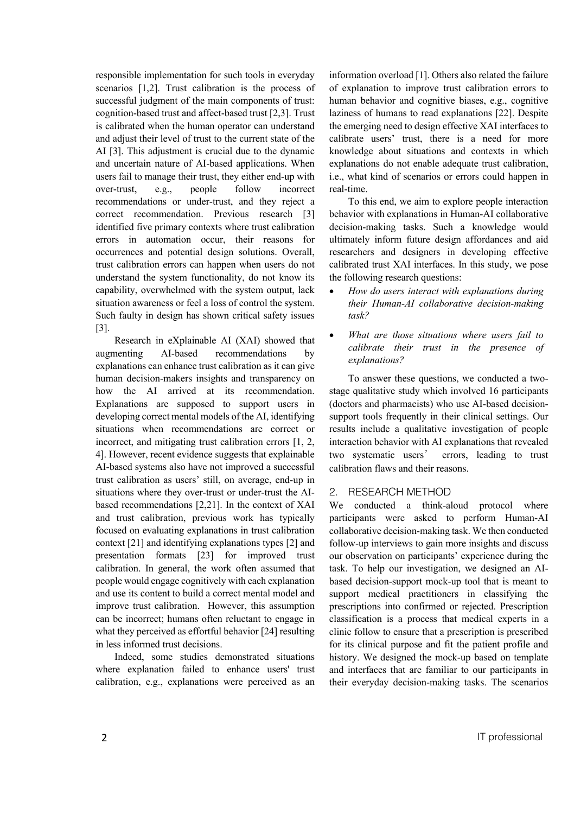responsible implementation for such tools in everyday scenarios [1,2]. Trust calibration is the process of successful judgment of the main components of trust: cognition-based trust and affect-based trust [2,3]. Trust is calibrated when the human operator can understand and adjust their level of trust to the current state of the AI [3]. This adjustment is crucial due to the dynamic and uncertain nature of AI-based applications. When users fail to manage their trust, they either end-up with over-trust, e.g., people follow incorrect recommendations or under-trust, and they reject a correct recommendation. Previous research [3] identified five primary contexts where trust calibration errors in automation occur, their reasons for occurrences and potential design solutions. Overall, trust calibration errors can happen when users do not understand the system functionality, do not know its capability, overwhelmed with the system output, lack situation awareness or feel a loss of control the system. Such faulty in design has shown critical safety issues [3].

Research in eXplainable AI (XAI) showed that augmenting AI-based recommendations by explanations can enhance trust calibration as it can give human decision-makers insights and transparency on how the AI arrived at its recommendation. Explanations are supposed to support users in developing correct mental models of the AI, identifying situations when recommendations are correct or incorrect, and mitigating trust calibration errors [1, 2, 4]. However, recent evidence suggests that explainable AI-based systems also have not improved a successful trust calibration as users' still, on average, end-up in situations where they over-trust or under-trust the AIbased recommendations [2,21]. In the context of XAI and trust calibration, previous work has typically focused on evaluating explanations in trust calibration context [21] and identifying explanations types [2] and presentation formats [23] for improved trust calibration. In general, the work often assumed that people would engage cognitively with each explanation and use its content to build a correct mental model and improve trust calibration. However, this assumption can be incorrect; humans often reluctant to engage in what they perceived as effortful behavior [24] resulting in less informed trust decisions.

Indeed, some studies demonstrated situations where explanation failed to enhance users' trust calibration, e.g., explanations were perceived as an information overload [1]. Others also related the failure of explanation to improve trust calibration errors to human behavior and cognitive biases, e.g., cognitive laziness of humans to read explanations [22]. Despite the emerging need to design effective XAI interfaces to calibrate users' trust, there is a need for more knowledge about situations and contexts in which explanations do not enable adequate trust calibration, i.e., what kind of scenarios or errors could happen in real-time.

To this end, we aim to explore people interaction behavior with explanations in Human-AI collaborative decision-making tasks. Such a knowledge would ultimately inform future design affordances and aid researchers and designers in developing effective calibrated trust XAI interfaces. In this study, we pose the following research questions:

- *How do users interact with explanations during their Human-AI collaborative decision-making task?*
- *What are those situations where users fail to calibrate their trust in the presence of explanations?*

To answer these questions, we conducted a twostage qualitative study which involved 16 participants (doctors and pharmacists) who use AI-based decisionsupport tools frequently in their clinical settings. Our results include a qualitative investigation of people interaction behavior with AI explanations that revealed two systematic users' errors, leading to trust calibration flaws and their reasons.

## 2. RESEARCH METHOD

We conducted a think-aloud protocol where participants were asked to perform Human-AI collaborative decision-making task. We then conducted follow-up interviews to gain more insights and discuss our observation on participants' experience during the task. To help our investigation, we designed an AIbased decision-support mock-up tool that is meant to support medical practitioners in classifying the prescriptions into confirmed or rejected. Prescription classification is a process that medical experts in a clinic follow to ensure that a prescription is prescribed for its clinical purpose and fit the patient profile and history. We designed the mock-up based on template and interfaces that are familiar to our participants in their everyday decision-making tasks. The scenarios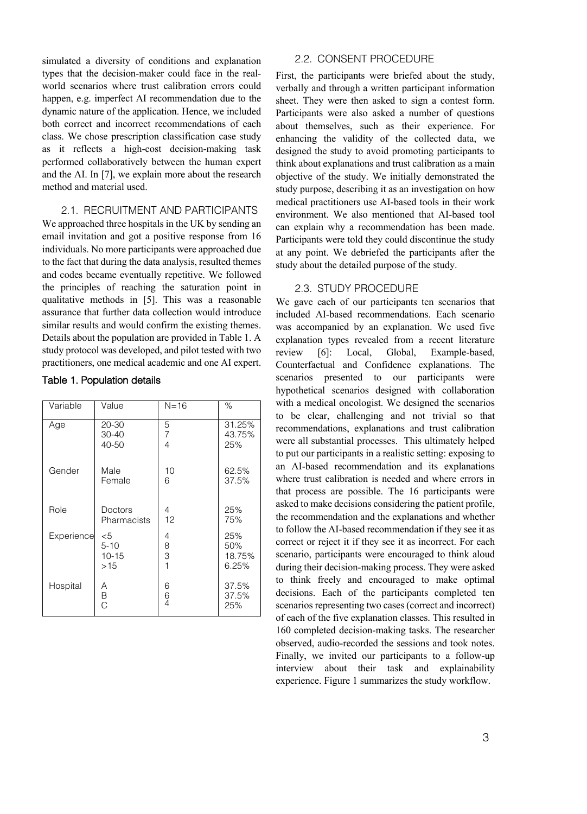simulated a diversity of conditions and explanation types that the decision-maker could face in the realworld scenarios where trust calibration errors could happen, e.g. imperfect AI recommendation due to the dynamic nature of the application. Hence, we included both correct and incorrect recommendations of each class. We chose prescription classification case study as it reflects a high-cost decision-making task performed collaboratively between the human expert and the AI. In [7], we explain more about the research method and material used.

# 2.1. RECRUITMENT AND PARTICIPANTS

We approached three hospitals in the UK by sending an email invitation and got a positive response from 16 individuals. No more participants were approached due to the fact that during the data analysis, resulted themes and codes became eventually repetitive. We followed the principles of reaching the saturation point in qualitative methods in [5]. This was a reasonable assurance that further data collection would introduce similar results and would confirm the existing themes. Details about the population are provided in Table 1. A study protocol was developed, and pilot tested with two practitioners, one medical academic and one AI expert.

| Variable | Value                           | $N = 16$ | %                       |
|----------|---------------------------------|----------|-------------------------|
| Age      | 20-30<br>$30 - 40$<br>$40 - 50$ | 5<br>4   | 31.25%<br>43.75%<br>25% |
| Gender   | Male<br>Female                  | 10<br>6  | 62.5%<br>37.5%          |
| Role     | Doctors<br>Pharmacists          | 4<br>12  | 25%<br>75%              |

6 6 4 25% 50% 18.75% 6.25%

37.5% 37.5% 25%

#### Table 1. Population details

Experience <5

Hospital A

5-10 10-15 >15

B C

## 2.2. CONSENT PROCEDURE

First, the participants were briefed about the study, verbally and through a written participant information sheet. They were then asked to sign a contest form. Participants were also asked a number of questions about themselves, such as their experience. For enhancing the validity of the collected data, we designed the study to avoid promoting participants to think about explanations and trust calibration as a main objective of the study. We initially demonstrated the study purpose, describing it as an investigation on how medical practitioners use AI-based tools in their work environment. We also mentioned that AI-based tool can explain why a recommendation has been made. Participants were told they could discontinue the study at any point. We debriefed the participants after the study about the detailed purpose of the study.

## 2.3. STUDY PROCEDURE

We gave each of our participants ten scenarios that included AI-based recommendations. Each scenario was accompanied by an explanation. We used five explanation types revealed from a recent literature review [6]: Local, Global, Example-based, Counterfactual and Confidence explanations. The scenarios presented to our participants were hypothetical scenarios designed with collaboration with a medical oncologist. We designed the scenarios to be clear, challenging and not trivial so that recommendations, explanations and trust calibration were all substantial processes. This ultimately helped to put our participants in a realistic setting: exposing to an AI-based recommendation and its explanations where trust calibration is needed and where errors in that process are possible. The 16 participants were asked to make decisions considering the patient profile, 160 completed decision-making tasks. The researcher experience. Figure 1 summarizes the study workflow.

| o mano weenstens eenstwering are paaten, promise           |
|------------------------------------------------------------|
| the recommendation and the explanations and whether        |
| to follow the AI-based recommendation if they see it as    |
| correct or reject it if they see it as incorrect. For each |
| scenario, participants were encouraged to think aloud      |
| during their decision-making process. They were asked      |
| to think freely and encouraged to make optimal             |
| decisions. Each of the participants completed ten          |
| scenarios representing two cases (correct and incorrect)   |
| of each of the five explanation classes. This resulted in  |
| 160 completed decision-making tasks. The researcher        |
| observed, audio-recorded the sessions and took notes.      |
| Finally, we invited our participants to a follow-up        |
| interview about their task and explainability              |
|                                                            |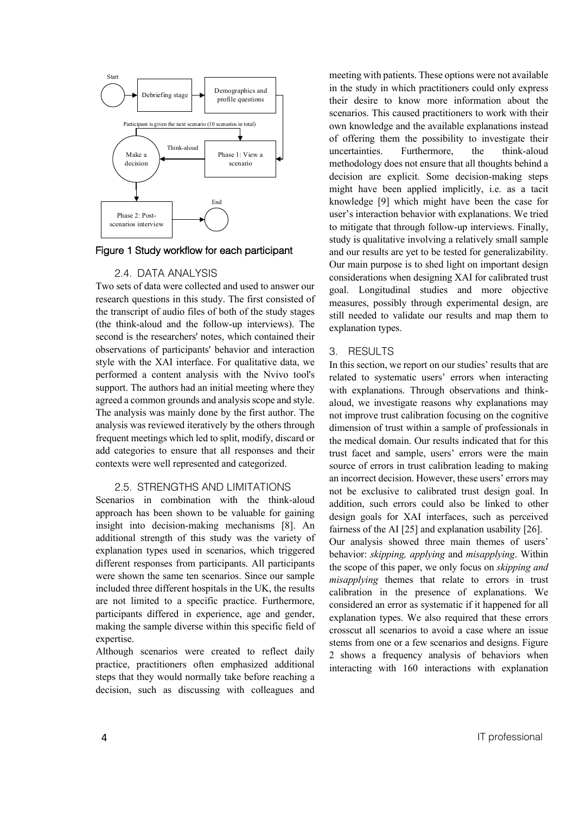

Figure 1 Study workflow for each participant

## 2.4. DATA ANALYSIS

Two sets of data were collected and used to answer our research questions in this study. The first consisted of the transcript of audio files of both of the study stages (the think-aloud and the follow-up interviews). The second is the researchers' notes, which contained their observations of participants' behavior and interaction style with the XAI interface. For qualitative data, we performed a content analysis with the Nvivo tool's support. The authors had an initial meeting where they agreed a common grounds and analysis scope and style. The analysis was mainly done by the first author. The analysis was reviewed iteratively by the others through frequent meetings which led to split, modify, discard or add categories to ensure that all responses and their contexts were well represented and categorized.

## 2.5. STRENGTHS AND LIMITATIONS

Scenarios in combination with the think-aloud approach has been shown to be valuable for gaining insight into decision-making mechanisms [8]. An additional strength of this study was the variety of explanation types used in scenarios, which triggered different responses from participants. All participants were shown the same ten scenarios. Since our sample included three different hospitals in the UK, the results are not limited to a specific practice. Furthermore, participants differed in experience, age and gender, making the sample diverse within this specific field of expertise.

Although scenarios were created to reflect daily practice, practitioners often emphasized additional steps that they would normally take before reaching a decision, such as discussing with colleagues and

meeting with patients. These options were not available in the study in which practitioners could only express their desire to know more information about the scenarios. This caused practitioners to work with their own knowledge and the available explanations instead of offering them the possibility to investigate their uncertainties. Furthermore, the think-aloud methodology does not ensure that all thoughts behind a decision are explicit. Some decision-making steps might have been applied implicitly, i.e. as a tacit knowledge [9] which might have been the case for user's interaction behavior with explanations. We tried to mitigate that through follow-up interviews. Finally, study is qualitative involving a relatively small sample and our results are yet to be tested for generalizability. Our main purpose is to shed light on important design considerations when designing XAI for calibrated trust goal. Longitudinal studies and more objective measures, possibly through experimental design, are still needed to validate our results and map them to explanation types.

#### 3. RESULTS

In this section, we report on our studies' results that are related to systematic users' errors when interacting with explanations. Through observations and thinkaloud, we investigate reasons why explanations may not improve trust calibration focusing on the cognitive dimension of trust within a sample of professionals in the medical domain. Our results indicated that for this trust facet and sample, users' errors were the main source of errors in trust calibration leading to making an incorrect decision. However, these users' errors may not be exclusive to calibrated trust design goal. In addition, such errors could also be linked to other design goals for XAI interfaces, such as perceived fairness of the AI [25] and explanation usability [26]. Our analysis showed three main themes of users' behavior: *skipping, applying* and *misapplying*. Within the scope of this paper, we only focus on *skipping and misapplying* themes that relate to errors in trust calibration in the presence of explanations. We considered an error as systematic if it happened for all explanation types. We also required that these errors crosscut all scenarios to avoid a case where an issue stems from one or a few scenarios and designs. Figure 2 shows a frequency analysis of behaviors when interacting with 160 interactions with explanation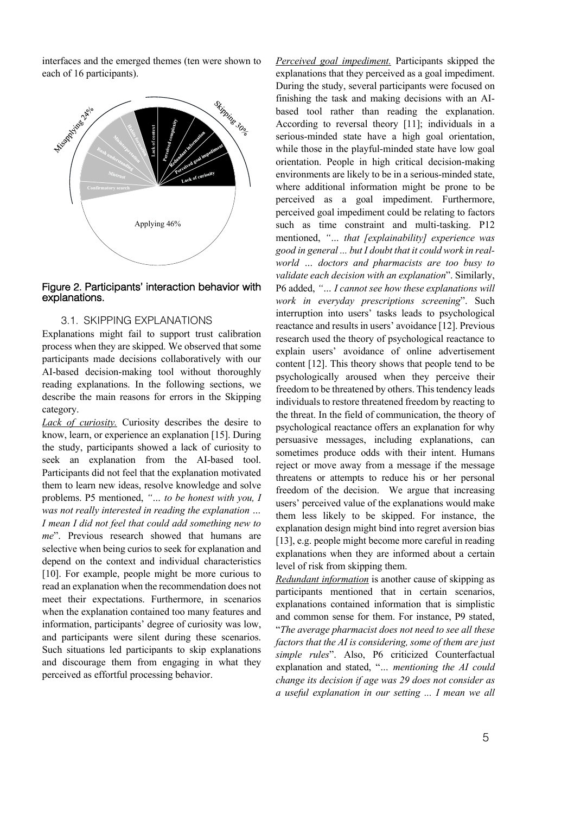interfaces and the emerged themes (ten were shown to each of 16 participants).



## Figure 2. Participants' interaction behavior with explanations.

# 3.1. SKIPPING EXPLANATIONS

Explanations might fail to support trust calibration process when they are skipped. We observed that some participants made decisions collaboratively with our AI-based decision-making tool without thoroughly reading explanations. In the following sections, we describe the main reasons for errors in the Skipping category.

*Lack of curiosity.* Curiosity describes the desire to know, learn, or experience an explanation [15]. During the study, participants showed a lack of curiosity to seek an explanation from the AI-based tool. Participants did not feel that the explanation motivated them to learn new ideas, resolve knowledge and solve problems. P5 mentioned, *"… to be honest with you, I was not really interested in reading the explanation … I mean I did not feel that could add something new to me*". Previous research showed that humans are selective when being curios to seek for explanation and depend on the context and individual characteristics [10]. For example, people might be more curious to read an explanation when the recommendation does not meet their expectations. Furthermore, in scenarios when the explanation contained too many features and information, participants' degree of curiosity was low, and participants were silent during these scenarios. Such situations led participants to skip explanations and discourage them from engaging in what they perceived as effortful processing behavior.

*Perceived goal impediment.* Participants skipped the explanations that they perceived as a goal impediment. During the study, several participants were focused on finishing the task and making decisions with an AIbased tool rather than reading the explanation. According to reversal theory [11]; individuals in a serious-minded state have a high goal orientation, while those in the playful-minded state have low goal orientation. People in high critical decision-making environments are likely to be in a serious-minded state, where additional information might be prone to be perceived as a goal impediment. Furthermore, perceived goal impediment could be relating to factors such as time constraint and multi-tasking. P12 mentioned, *"… that [explainability] experience was good in general ... but I doubt that it could work in realworld … doctors and pharmacists are too busy to validate each decision with an explanation*". Similarly, P6 added, *"… I cannot see how these explanations will work in everyday prescriptions screening*". Such interruption into users' tasks leads to psychological reactance and results in users' avoidance [12]. Previous research used the theory of psychological reactance to explain users' avoidance of online advertisement content [12]. This theory shows that people tend to be psychologically aroused when they perceive their freedom to be threatened by others. This tendency leads individuals to restore threatened freedom by reacting to the threat. In the field of communication, the theory of psychological reactance offers an explanation for why persuasive messages, including explanations, can sometimes produce odds with their intent. Humans reject or move away from a message if the message threatens or attempts to reduce his or her personal freedom of the decision. We argue that increasing users' perceived value of the explanations would make them less likely to be skipped. For instance, the explanation design might bind into regret aversion bias [13], e.g. people might become more careful in reading explanations when they are informed about a certain level of risk from skipping them.

*Redundant information* is another cause of skipping as participants mentioned that in certain scenarios, explanations contained information that is simplistic and common sense for them. For instance, P9 stated, "*The average pharmacist does not need to see all these factors that the AI is considering, some of them are just simple rules*". Also, P6 criticized Counterfactual explanation and stated, "*… mentioning the AI could change its decision if age was 29 does not consider as a useful explanation in our setting ... I mean we all*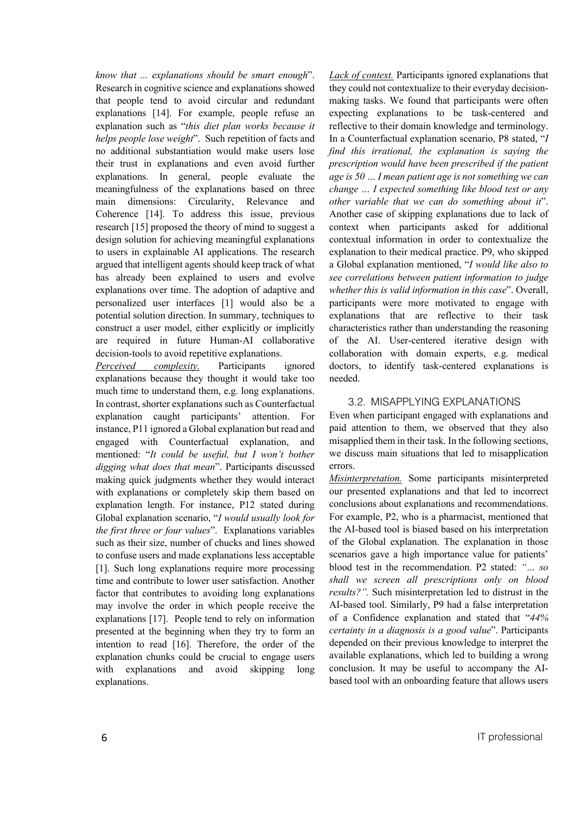*know that ... explanations should be smart enough*". Research in cognitive science and explanations showed that people tend to avoid circular and redundant explanations [14]. For example, people refuse an explanation such as "*this diet plan works because it helps people lose weight*". Such repetition of facts and no additional substantiation would make users lose their trust in explanations and even avoid further explanations. In general, people evaluate the meaningfulness of the explanations based on three main dimensions: Circularity, Relevance and Coherence [14]. To address this issue, previous research [15] proposed the theory of mind to suggest a design solution for achieving meaningful explanations to users in explainable AI applications. The research argued that intelligent agents should keep track of what has already been explained to users and evolve explanations over time. The adoption of adaptive and personalized user interfaces [1] would also be a potential solution direction. In summary, techniques to construct a user model, either explicitly or implicitly are required in future Human-AI collaborative decision-tools to avoid repetitive explanations.

*Perceived complexity.* Participants ignored explanations because they thought it would take too much time to understand them, e.g. long explanations. In contrast, shorter explanations such as Counterfactual explanation caught participants' attention. For instance, P11 ignored a Global explanation but read and engaged with Counterfactual explanation, and mentioned: "*It could be useful, but I won't bother digging what does that mean*". Participants discussed making quick judgments whether they would interact with explanations or completely skip them based on explanation length. For instance, P12 stated during Global explanation scenario, "*I would usually look for the first three or four values*". Explanations variables such as their size, number of chucks and lines showed to confuse users and made explanations less acceptable [1]. Such long explanations require more processing time and contribute to lower user satisfaction. Another factor that contributes to avoiding long explanations may involve the order in which people receive the explanations [17]. People tend to rely on information presented at the beginning when they try to form an intention to read [16]. Therefore, the order of the explanation chunks could be crucial to engage users with explanations and avoid skipping long explanations.

*Lack of context.* Participants ignored explanations that they could not contextualize to their everyday decisionmaking tasks. We found that participants were often expecting explanations to be task-centered and reflective to their domain knowledge and terminology. In a Counterfactual explanation scenario, P8 stated, "*I find this irrational, the explanation is saying the prescription would have been prescribed if the patient age is 50 … I mean patient age is not something we can change … I expected something like blood test or any other variable that we can do something about it*". Another case of skipping explanations due to lack of context when participants asked for additional contextual information in order to contextualize the explanation to their medical practice. P9, who skipped a Global explanation mentioned, "*I would like also to see correlations between patient information to judge whether this is valid information in this case*". Overall, participants were more motivated to engage with explanations that are reflective to their task characteristics rather than understanding the reasoning of the AI. User-centered iterative design with collaboration with domain experts, e.g. medical doctors, to identify task-centered explanations is needed.

### 3.2. MISAPPLYING EXPLANATIONS

Even when participant engaged with explanations and paid attention to them, we observed that they also misapplied them in their task. In the following sections, we discuss main situations that led to misapplication errors.

*Misinterpretation.* Some participants misinterpreted our presented explanations and that led to incorrect conclusions about explanations and recommendations. For example, P2, who is a pharmacist, mentioned that the AI-based tool is biased based on his interpretation of the Global explanation. The explanation in those scenarios gave a high importance value for patients' blood test in the recommendation. P2 stated: *"… so shall we screen all prescriptions only on blood results?".* Such misinterpretation led to distrust in the AI-based tool. Similarly, P9 had a false interpretation of a Confidence explanation and stated that "*44% certainty in a diagnosis is a good value*". Participants depended on their previous knowledge to interpret the available explanations, which led to building a wrong conclusion. It may be useful to accompany the AIbased tool with an onboarding feature that allows users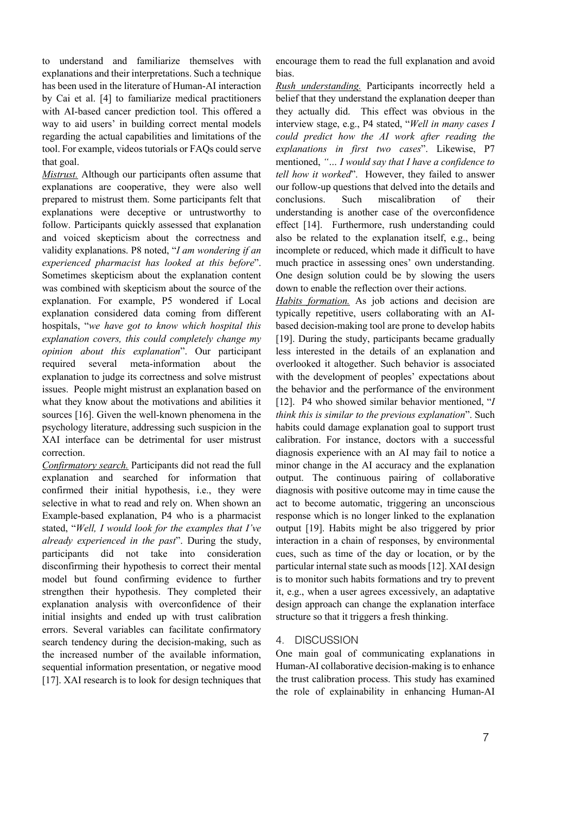to understand and familiarize themselves with explanations and their interpretations. Such a technique has been used in the literature of Human-AI interaction by Cai et al. [4] to familiarize medical practitioners with AI-based cancer prediction tool. This offered a way to aid users' in building correct mental models regarding the actual capabilities and limitations of the tool. For example, videos tutorials or FAQs could serve that goal.

*Mistrust.* Although our participants often assume that explanations are cooperative, they were also well prepared to mistrust them. Some participants felt that explanations were deceptive or untrustworthy to follow. Participants quickly assessed that explanation and voiced skepticism about the correctness and validity explanations. P8 noted, "*I am wondering if an experienced pharmacist has looked at this before*". Sometimes skepticism about the explanation content was combined with skepticism about the source of the explanation. For example, P5 wondered if Local explanation considered data coming from different hospitals, "*we have got to know which hospital this explanation covers, this could completely change my opinion about this explanation*". Our participant required several meta-information about the explanation to judge its correctness and solve mistrust issues. People might mistrust an explanation based on what they know about the motivations and abilities it sources [16]. Given the well-known phenomena in the psychology literature, addressing such suspicion in the XAI interface can be detrimental for user mistrust correction.

*Confirmatory search.* Participants did not read the full explanation and searched for information that confirmed their initial hypothesis, i.e., they were selective in what to read and rely on. When shown an Example-based explanation, P4 who is a pharmacist stated, "*Well, I would look for the examples that I've already experienced in the past*". During the study, participants did not take into consideration disconfirming their hypothesis to correct their mental model but found confirming evidence to further strengthen their hypothesis. They completed their explanation analysis with overconfidence of their initial insights and ended up with trust calibration errors. Several variables can facilitate confirmatory search tendency during the decision-making, such as the increased number of the available information, sequential information presentation, or negative mood [17]. XAI research is to look for design techniques that encourage them to read the full explanation and avoid bias.

*Rush understanding.* Participants incorrectly held a belief that they understand the explanation deeper than they actually did. This effect was obvious in the interview stage, e.g., P4 stated, "*Well in many cases I could predict how the AI work after reading the explanations in first two cases*". Likewise, P7 mentioned, *"… I would say that I have a confidence to tell how it worked*". However, they failed to answer our follow-up questions that delved into the details and conclusions. Such miscalibration of their understanding is another case of the overconfidence effect [14]. Furthermore, rush understanding could also be related to the explanation itself, e.g., being incomplete or reduced, which made it difficult to have much practice in assessing ones' own understanding. One design solution could be by slowing the users down to enable the reflection over their actions.

*Habits formation.* As job actions and decision are typically repetitive, users collaborating with an AIbased decision-making tool are prone to develop habits [19]. During the study, participants became gradually less interested in the details of an explanation and overlooked it altogether. Such behavior is associated with the development of peoples' expectations about the behavior and the performance of the environment [12]. P4 who showed similar behavior mentioned, "*I think this is similar to the previous explanation*". Such habits could damage explanation goal to support trust calibration. For instance, doctors with a successful diagnosis experience with an AI may fail to notice a minor change in the AI accuracy and the explanation output. The continuous pairing of collaborative diagnosis with positive outcome may in time cause the act to become automatic, triggering an unconscious response which is no longer linked to the explanation output [19]. Habits might be also triggered by prior interaction in a chain of responses, by environmental cues, such as time of the day or location, or by the particular internal state such as moods [12]. XAI design is to monitor such habits formations and try to prevent it, e.g., when a user agrees excessively, an adaptative design approach can change the explanation interface structure so that it triggers a fresh thinking.

## 4. DISCUSSION

One main goal of communicating explanations in Human-AI collaborative decision-making is to enhance the trust calibration process. This study has examined the role of explainability in enhancing Human-AI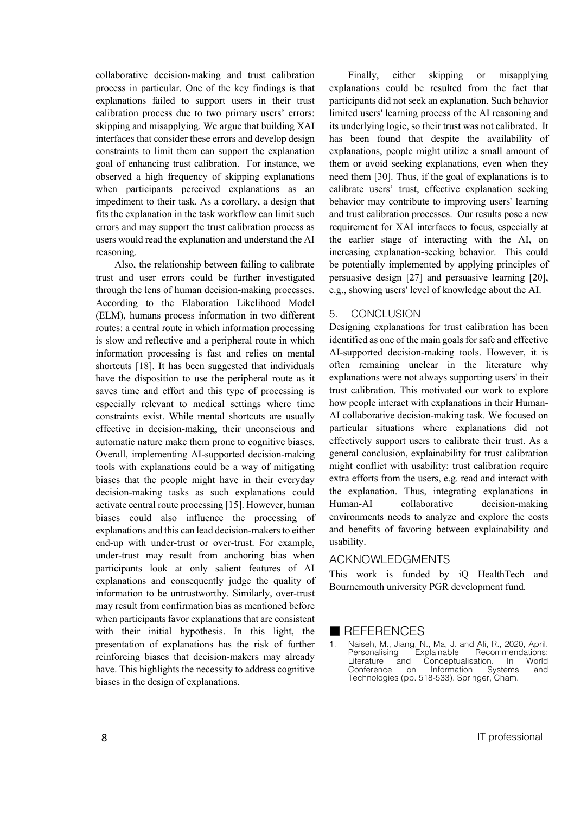collaborative decision-making and trust calibration process in particular. One of the key findings is that explanations failed to support users in their trust calibration process due to two primary users' errors: skipping and misapplying. We argue that building XAI interfaces that consider these errors and develop design constraints to limit them can support the explanation goal of enhancing trust calibration. For instance, we observed a high frequency of skipping explanations when participants perceived explanations as an impediment to their task. As a corollary, a design that fits the explanation in the task workflow can limit such errors and may support the trust calibration process as users would read the explanation and understand the AI reasoning.

Also, the relationship between failing to calibrate trust and user errors could be further investigated through the lens of human decision-making processes. According to the Elaboration Likelihood Model (ELM), humans process information in two different routes: a central route in which information processing is slow and reflective and a peripheral route in which information processing is fast and relies on mental shortcuts [18]. It has been suggested that individuals have the disposition to use the peripheral route as it saves time and effort and this type of processing is especially relevant to medical settings where time constraints exist. While mental shortcuts are usually effective in decision-making, their unconscious and automatic nature make them prone to cognitive biases. Overall, implementing AI-supported decision-making tools with explanations could be a way of mitigating biases that the people might have in their everyday decision-making tasks as such explanations could activate central route processing [15]. However, human biases could also influence the processing of explanations and this can lead decision-makers to either end-up with under-trust or over-trust. For example, under-trust may result from anchoring bias when participants look at only salient features of AI explanations and consequently judge the quality of information to be untrustworthy. Similarly, over-trust may result from confirmation bias as mentioned before when participants favor explanations that are consistent with their initial hypothesis. In this light, the presentation of explanations has the risk of further reinforcing biases that decision-makers may already have. This highlights the necessity to address cognitive biases in the design of explanations.

Finally, either skipping or misapplying explanations could be resulted from the fact that participants did not seek an explanation. Such behavior limited users' learning process of the AI reasoning and its underlying logic, so their trust was not calibrated. It has been found that despite the availability of explanations, people might utilize a small amount of them or avoid seeking explanations, even when they need them [30]. Thus, if the goal of explanations is to calibrate users' trust, effective explanation seeking behavior may contribute to improving users' learning and trust calibration processes. Our results pose a new requirement for XAI interfaces to focus, especially at the earlier stage of interacting with the AI, on increasing explanation-seeking behavior. This could be potentially implemented by applying principles of persuasive design [27] and persuasive learning [20], e.g., showing users' level of knowledge about the AI.

#### 5. CONCLUSION

Designing explanations for trust calibration has been identified as one of the main goals for safe and effective AI-supported decision-making tools. However, it is often remaining unclear in the literature why explanations were not always supporting users' in their trust calibration. This motivated our work to explore how people interact with explanations in their Human-AI collaborative decision-making task. We focused on particular situations where explanations did not effectively support users to calibrate their trust. As a general conclusion, explainability for trust calibration might conflict with usability: trust calibration require extra efforts from the users, e.g. read and interact with the explanation. Thus, integrating explanations in Human-AI collaborative decision-making environments needs to analyze and explore the costs and benefits of favoring between explainability and usability.

#### ACKNOWLEDGMENTS

This work is funded by iQ HealthTech and Bournemouth university PGR development fund.

## $\blacksquare$  REFERENCES

1. Naiseh, M., Jiang, N., Ma, J. and Ali, R., 2020, April. Personalising Explainable Recommendations: Literature and Conceptualisation. In World Conference on Information Systems and Technologies (pp. 518-533). Springer, Cham.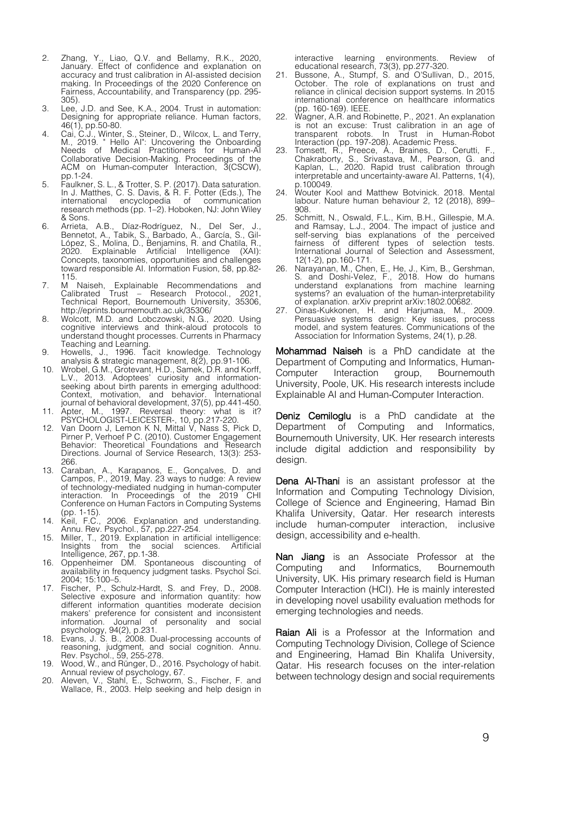- 2. Zhang, Y., Liao, Q.V. and Bellamy, R.K., 2020, January. Effect of confidence and explanation on accuracy and trust calibration in AI-assisted decision making. In Proceedings of the 2020 Conference on Fairness, Accountability, and Transparency (pp. 295- 305).
- 3. Lee, J.D. and See, K.A., 2004. Trust in automation: Designing for appropriate reliance. Human factors, 46(1), pp.50-80.
- 4. Cai, C.J., Winter, S., Steiner, D., Wilcox, L. and Terry, M., 2019. " Hello AI": Uncovering the Onboarding Needs of Medical Practitioners for Human-AI Collaborative Decision-Making. Proceedings of the ACM on Human-computer Interaction, 3(CSCW), pp.1-24.
- 5. Faulkner, S. L., & Trotter, S. P. (2017). Data saturation. In J. Matthes, C. S. Davis, & R. F. Potter (Eds.), The international encyclopedia of communication research methods (pp. 1–2). Hoboken, NJ: John Wiley & Sons.
- 6. Arrieta, A.B., Díaz-Rodríguez, N., Del Ser, J., Bennetot, A., Tabik, S., Barbado, A., García, S., Gil-López, S., Molina, D., Benjamins, R. and Chatila, R., 2020. Explainable Artificial Intelligence (XAI): Concepts, taxonomies, opportunities and challenges toward responsible AI. Information Fusion, 58, pp.82- 115.
- 7. M Naiseh, Explainable Recommendations and Calibrated Trust Research Protocol., 2021, In Trust - Research Protocol., 2021,<br>Technical Report, Bournemouth University, 35306, http://eprints.bournemouth.ac.uk/35306/
- 8. Wolcott, M.D. and Lobczowski, N.G., 2020. Using cognitive interviews and think-aloud protocols to understand thought processes. Currents in Pharmacy
- Teaching and Learning. 9. Howells, J., 1996. Tacit knowledge. Technology analysis & strategic management, 8(2), pp.91-106.
- 10. Wrobel, G.M., Grotevant, H.D., Samek, D.R. and Korff, L.V., 2013. Adoptees' curiosity and informationseeking about birth parents in emerging adulthood: Context, motivation, and behavior. International journal of behavioral development, 37(5), pp.441-450.
- 11. Apter, M., 1997. Reversal theory: what is it? PSYCHOLOGIST-LEICESTER-, 10, pp.217-220. 12. Van Doorn J, Lemon K N, Mittal V, Nass S, Pick D,
- Pirner P, Verhoef P C. (2010). Customer Engagement Behavior: Theoretical Foundations and Research Directions. Journal of Service Research, 13(3): 253- 266.
- 13. Caraban, A., Karapanos, E., Gonçalves, D. and Campos, P., 2019, May. 23 ways to nudge: A review of technology-mediated nudging in human-computer interaction. In Proceedings of the 2019 CHI Conference on Human Factors in Computing Systems (pp. 1-15).
- 14. Keil, F.C., 2006. Explanation and understanding. Annu. Rev. Psychol., 57, pp.227-254.
- 15. Miller, T., 2019. Explanation in artificial intelligence: Insights from the social sciences. Artificial Intelligence, 267, pp.1-38.
- 16. Oppenheimer DM. Spontaneous discounting of availability in frequency judgment tasks. Psychol Sci. 2004; 15:100–5.
- 17. Fischer, P., Schulz-Hardt, S. and Frey, D., 2008. Selective exposure and information quantity: how different information quantities moderate decision makers' preference for consistent and inconsistent information. Journal of personality and social psychology, 94(2), p.231.
- 18. Evans, J. S. B., 2008. Dual-processing accounts of reasoning, judgment, and social cognition. Annu. Rev. Psychol., 59, 255-278.
- 19. Wood, W., and Rünger, D., 2016. Psychology of habit. Annual review of psychology, 67.
- 20. Aleven, V., Stahl, E., Schworm, S., Fischer, F. and Wallace, R., 2003. Help seeking and help design in

interactive learning environments. Review of educational research, 73(3), pp.277-320.

- 21. Bussone, A., Stumpf, S. and O'Sullivan, D., 2015, October. The role of explanations on trust and reliance in clinical decision support systems. In 2015 international conference on healthcare informatics (pp. 160-169). IEEE.
- 22. Wagner, A.R. and Robinette, P., 2021. An explanation is not an excuse: Trust calibration in an age of transparent robots. In Trust in Human-Robot Interaction (pp. 197-208). Academic Press. 23. Tomsett, R., Preece, A., Braines, D., Cerutti, F.,
	- Chakraborty, S., Srivastava, M., Pearson, G. and Kaplan, L., 2020. Rapid trust calibration through interpretable and uncertainty-aware AI. Patterns,  $1(\vec{4})$ , p.100049.
- 24. Wouter Kool and Matthew Botvinick. 2018. Mental labour. Nature human behaviour 2, 12 (2018), 899– 908.
- 25. Schmitt, N., Oswald, F.L., Kim, B.H., Gillespie, M.A. and Ramsay, L.J., 2004. The impact of justice and self-serving bias explanations of the perceived fairness of different types of selection tests. fairness of different types of selection tests. International Journal of Selection and Assessment, 12(1‐2), pp.160-171.
- 26. Narayanan, M., Chen, E., He, J., Kim, B., Gershman, S. and Doshi-Velez, F., 2018. How do humans understand explanations from machine learning systems? an evaluation of the human-interpretability of explanation. arXiv preprint arXiv:1802.00682.
- 27. Oinas-Kukkonen, H. and Harjumaa, M., 2009. Persuasive systems design: Key issues, process model, and system features. Communications of the Association for Information Systems, 24(1), p.28.

Mohammad Naiseh is a PhD candidate at the Department of Computing and Informatics, Human-Computer Interaction group, Bournemouth University, Poole, UK. His research interests include Explainable AI and Human-Computer Interaction.

Deniz Cemiloglu is a PhD candidate at the Department of Computing and Informatics, Bournemouth University, UK. Her research interests include digital addiction and responsibility by design.

Dena Al-Thani is an assistant professor at the Information and Computing Technology Division, College of Science and Engineering, Hamad Bin Khalifa University, Qatar. Her research interests include human-computer interaction, inclusive design, accessibility and e-health.

Nan Jiang is an Associate Professor at the Computing and Informatics, Bournemouth University, UK. His primary research field is Human Computer Interaction (HCI). He is mainly interested in developing novel usability evaluation methods for emerging technologies and needs.

Raian Ali is a Professor at the Information and Computing Technology Division, College of Science and Engineering, Hamad Bin Khalifa University, Qatar. His research focuses on the inter-relation between technology design and social requirements